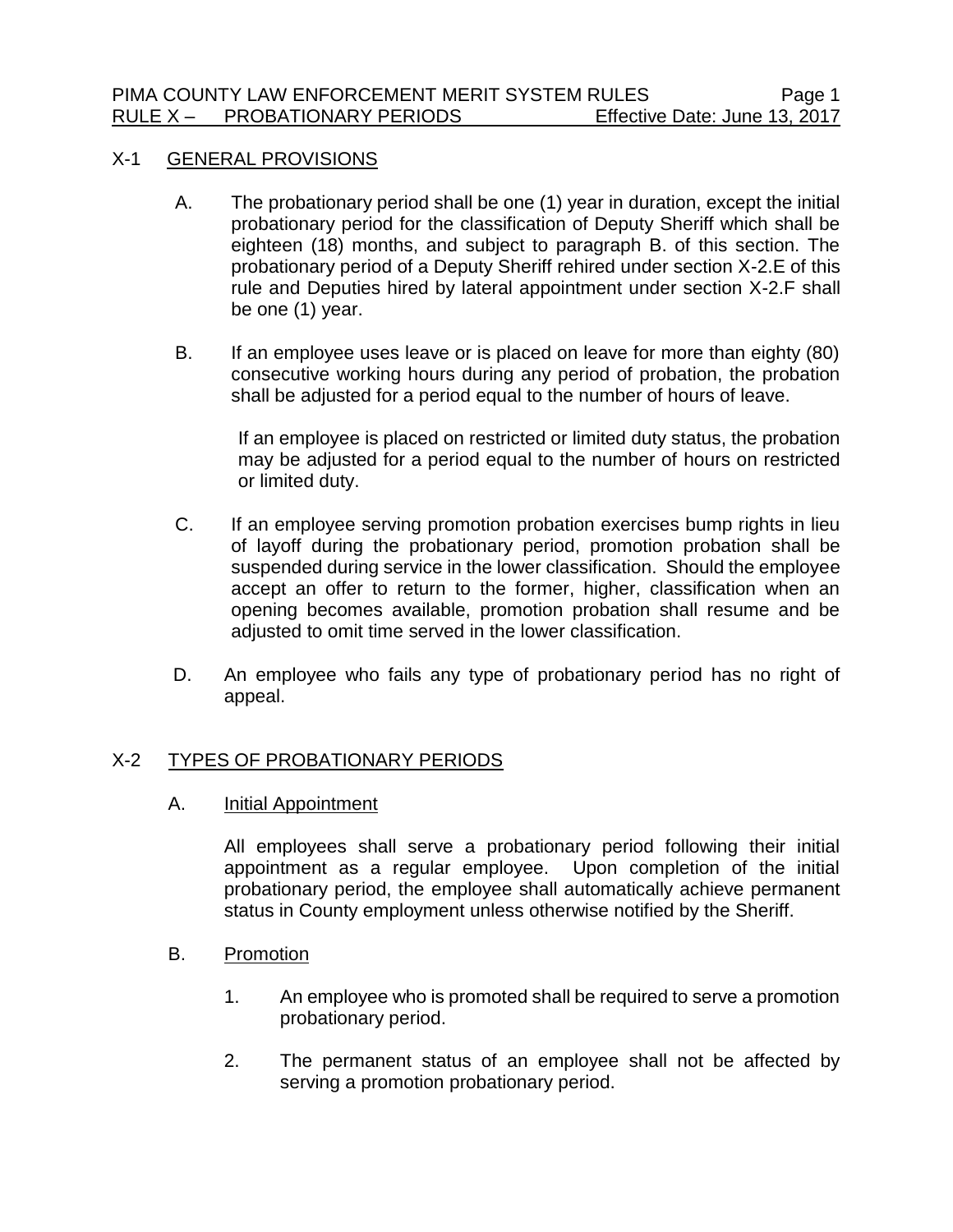#### X-1 GENERAL PROVISIONS

- A. The probationary period shall be one (1) year in duration, except the initial probationary period for the classification of Deputy Sheriff which shall be eighteen (18) months, and subject to paragraph B. of this section. The probationary period of a Deputy Sheriff rehired under section X-2.E of this rule and Deputies hired by lateral appointment under section X-2.F shall be one (1) year.
- B. If an employee uses leave or is placed on leave for more than eighty (80) consecutive working hours during any period of probation, the probation shall be adjusted for a period equal to the number of hours of leave.

If an employee is placed on restricted or limited duty status, the probation may be adjusted for a period equal to the number of hours on restricted or limited duty.

- C. If an employee serving promotion probation exercises bump rights in lieu of layoff during the probationary period, promotion probation shall be suspended during service in the lower classification. Should the employee accept an offer to return to the former, higher, classification when an opening becomes available, promotion probation shall resume and be adjusted to omit time served in the lower classification.
- D. An employee who fails any type of probationary period has no right of appeal.

# X-2 TYPES OF PROBATIONARY PERIODS

A. Initial Appointment

All employees shall serve a probationary period following their initial appointment as a regular employee. Upon completion of the initial probationary period, the employee shall automatically achieve permanent status in County employment unless otherwise notified by the Sheriff.

- B. Promotion
	- 1. An employee who is promoted shall be required to serve a promotion probationary period.
	- 2. The permanent status of an employee shall not be affected by serving a promotion probationary period.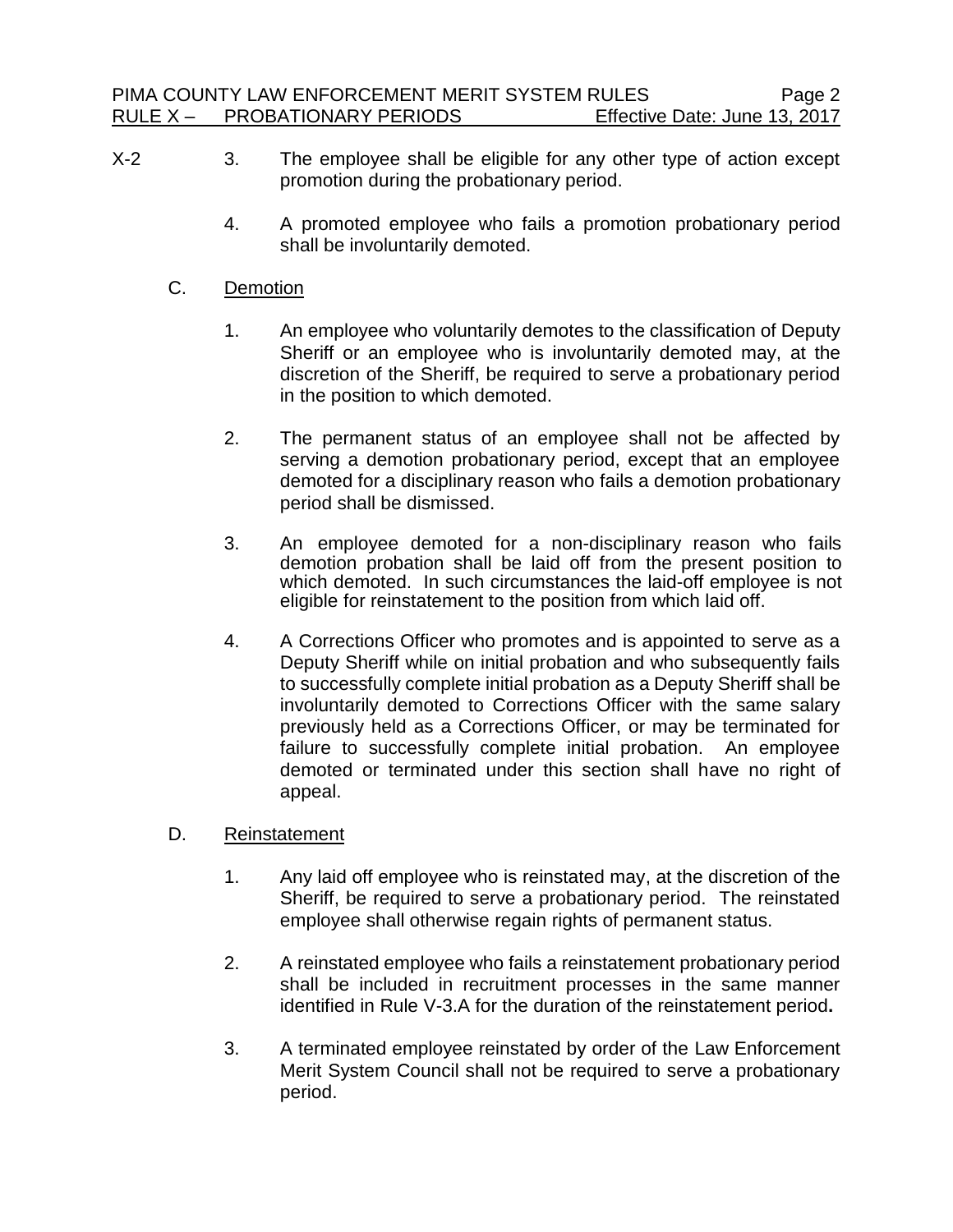- X-2 3. The employee shall be eligible for any other type of action except promotion during the probationary period.
	- 4. A promoted employee who fails a promotion probationary period shall be involuntarily demoted.

## C. Demotion

- 1. An employee who voluntarily demotes to the classification of Deputy Sheriff or an employee who is involuntarily demoted may, at the discretion of the Sheriff, be required to serve a probationary period in the position to which demoted.
- 2. The permanent status of an employee shall not be affected by serving a demotion probationary period, except that an employee demoted for a disciplinary reason who fails a demotion probationary period shall be dismissed.
- 3. An employee demoted for a non-disciplinary reason who fails demotion probation shall be laid off from the present position to which demoted. In such circumstances the laid-off employee is not eligible for reinstatement to the position from which laid off.
- 4. A Corrections Officer who promotes and is appointed to serve as a Deputy Sheriff while on initial probation and who subsequently fails to successfully complete initial probation as a Deputy Sheriff shall be involuntarily demoted to Corrections Officer with the same salary previously held as a Corrections Officer, or may be terminated for failure to successfully complete initial probation. An employee demoted or terminated under this section shall have no right of appeal.

#### D. Reinstatement

- 1. Any laid off employee who is reinstated may, at the discretion of the Sheriff, be required to serve a probationary period. The reinstated employee shall otherwise regain rights of permanent status.
- 2. A reinstated employee who fails a reinstatement probationary period shall be included in recruitment processes in the same manner identified in Rule V-3.A for the duration of the reinstatement period**.**
- 3. A terminated employee reinstated by order of the Law Enforcement Merit System Council shall not be required to serve a probationary period.